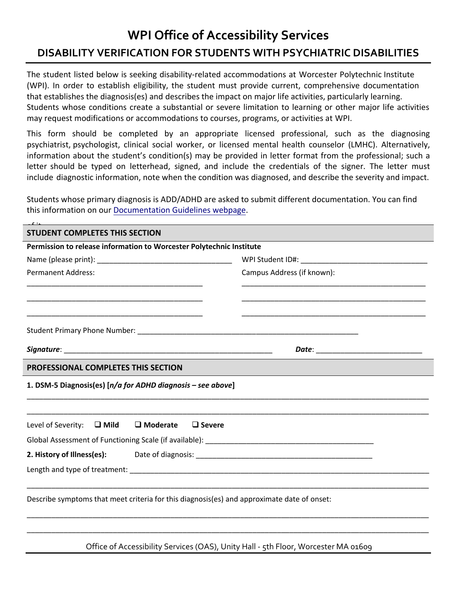## **WPI Office of Accessibility Services DISABILITY VERIFICATION FOR STUDENTS WITH PSYCHIATRIC DISABILITIES**

The student listed below is seeking disability-related accommodations at Worcester Polytechnic Institute (WPI). In order to establish eligibility, the student must provide current, comprehensive documentation that establishes the diagnosis(es) and describes the impact on major life activities, particularly learning. Students whose conditions create a substantial or severe limitation to learning or other major life activities may request modifications or accommodations to courses, programs, or activities at WPI.

This form should be completed by an appropriate licensed professional, such as the diagnosing psychiatrist, psychologist, clinical social worker, or licensed mental health counselor (LMHC). Alternatively, information about the student's condition(s) may be provided in letter format from the professional; such a letter should be typed on letterhead, signed, and include the credentials of the signer. The letter must include diagnostic information, note when the condition was diagnosed, and describe the severity and impact.

Students whose primary diagnosis is ADD/ADHD are asked to submit different documentation. You can find this information on ou[r Documentation Guidelines webpage.](https://www.wpi.edu/student-experience/resources/accessibility-services/documentation)

| <b>STUDENT COMPLETES THIS SECTION</b>                                                                                                                                                                                                          |                            |  |
|------------------------------------------------------------------------------------------------------------------------------------------------------------------------------------------------------------------------------------------------|----------------------------|--|
| Permission to release information to Worcester Polytechnic Institute                                                                                                                                                                           |                            |  |
|                                                                                                                                                                                                                                                |                            |  |
| <b>Permanent Address:</b>                                                                                                                                                                                                                      | Campus Address (if known): |  |
| <u> 1989 - Johann Stoff, deutscher Stoff, der Stoff, der Stoff, der Stoff, der Stoff, der Stoff, der Stoff, der S</u><br><u> 1989 - Johann John Stoff, deutscher Stoffen und der Stoffen und der Stoffen und der Stoffen und der Stoffen u</u> |                            |  |
|                                                                                                                                                                                                                                                |                            |  |
|                                                                                                                                                                                                                                                |                            |  |
| PROFESSIONAL COMPLETES THIS SECTION                                                                                                                                                                                                            |                            |  |
| 1. DSM-5 Diagnosis(es) [n/a for ADHD diagnosis - see above]                                                                                                                                                                                    |                            |  |
| $\square$ Moderate<br>Level of Severity: $\Box$ Mild<br>$\Box$ Severe                                                                                                                                                                          |                            |  |
|                                                                                                                                                                                                                                                |                            |  |
|                                                                                                                                                                                                                                                |                            |  |
|                                                                                                                                                                                                                                                |                            |  |
| Describe symptoms that meet criteria for this diagnosis(es) and approximate date of onset:                                                                                                                                                     |                            |  |
|                                                                                                                                                                                                                                                |                            |  |
|                                                                                                                                                                                                                                                |                            |  |

Office of Accessibility Services (OAS), Unity Hall - 5th Floor, Worcester MA 01609